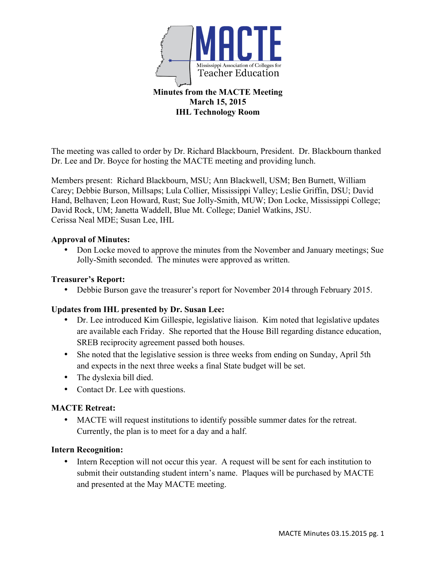

### **Minutes from the MACTE Meeting March 15, 2015 IHL Technology Room**

The meeting was called to order by Dr. Richard Blackbourn, President. Dr. Blackbourn thanked Dr. Lee and Dr. Boyce for hosting the MACTE meeting and providing lunch.

Members present: Richard Blackbourn, MSU; Ann Blackwell, USM; Ben Burnett, William Carey; Debbie Burson, Millsaps; Lula Collier, Mississippi Valley; Leslie Griffin, DSU; David Hand, Belhaven; Leon Howard, Rust; Sue Jolly-Smith, MUW; Don Locke, Mississippi College; David Rock, UM; Janetta Waddell, Blue Mt. College; Daniel Watkins, JSU. Cerissa Neal MDE; Susan Lee, IHL

# **Approval of Minutes:**

• Don Locke moved to approve the minutes from the November and January meetings; Sue Jolly-Smith seconded. The minutes were approved as written.

### **Treasurer's Report:**

• Debbie Burson gave the treasurer's report for November 2014 through February 2015.

# **Updates from IHL presented by Dr. Susan Lee:**

- Dr. Lee introduced Kim Gillespie, legislative liaison. Kim noted that legislative updates are available each Friday. She reported that the House Bill regarding distance education, SREB reciprocity agreement passed both houses.
- She noted that the legislative session is three weeks from ending on Sunday, April 5th and expects in the next three weeks a final State budget will be set.
- The dyslexia bill died.
- Contact Dr. Lee with questions.

#### **MACTE Retreat:**

• MACTE will request institutions to identify possible summer dates for the retreat. Currently, the plan is to meet for a day and a half.

#### **Intern Recognition:**

• Intern Reception will not occur this year. A request will be sent for each institution to submit their outstanding student intern's name. Plaques will be purchased by MACTE and presented at the May MACTE meeting.